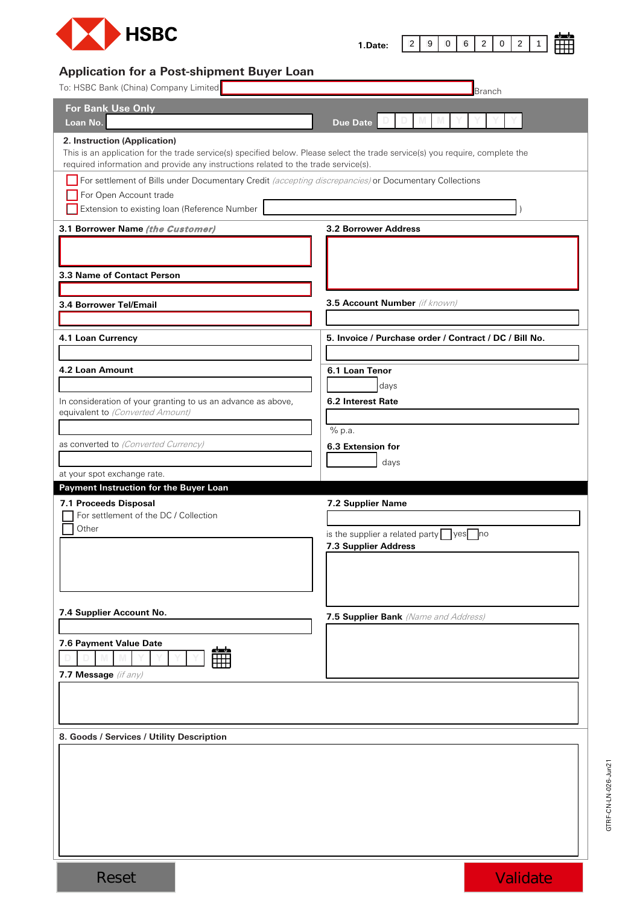

| ٠.<br>r<br>้<br>- -<br>јате:<br>. |
|-----------------------------------|
|-----------------------------------|

## **Application for a Post-shipment Buyer Loan**

| To: HSBC Bank (China) Company Limited                                                                                                                                                                                                               | <b>Branch</b>                                          |
|-----------------------------------------------------------------------------------------------------------------------------------------------------------------------------------------------------------------------------------------------------|--------------------------------------------------------|
| <b>For Bank Use Only</b><br>Loan No.                                                                                                                                                                                                                | <b>Due Date</b>                                        |
| 2. Instruction (Application)<br>This is an application for the trade service(s) specified below. Please select the trade service(s) you require, complete the<br>required information and provide any instructions related to the trade service(s). |                                                        |
| For settlement of Bills under Documentary Credit (accepting discrepancies) or Documentary Collections<br>For Open Account trade<br>Extension to existing loan (Reference Number                                                                     |                                                        |
| 3.1 Borrower Name (the Customer)                                                                                                                                                                                                                    | <b>3.2 Borrower Address</b>                            |
| 3.3 Name of Contact Person                                                                                                                                                                                                                          |                                                        |
|                                                                                                                                                                                                                                                     | 3.5 Account Number (if known)                          |
| 3.4 Borrower Tel/Email                                                                                                                                                                                                                              |                                                        |
| 4.1 Loan Currency                                                                                                                                                                                                                                   | 5. Invoice / Purchase order / Contract / DC / Bill No. |
| 4.2 Loan Amount                                                                                                                                                                                                                                     | 6.1 Loan Tenor                                         |
| In consideration of your granting to us an advance as above,<br>equivalent to (Converted Amount)                                                                                                                                                    | days<br>6.2 Interest Rate<br>$\overline{\%}$ p.a.      |
| as converted to (Converted Currency)                                                                                                                                                                                                                | 6.3 Extension for                                      |
|                                                                                                                                                                                                                                                     | days                                                   |
| at your spot exchange rate.                                                                                                                                                                                                                         |                                                        |
| Payment Instruction for the Buyer Loan<br>7.1 Proceeds Disposal                                                                                                                                                                                     | 7.2 Supplier Name                                      |
| For settlement of the DC / Collection                                                                                                                                                                                                               |                                                        |
| Other                                                                                                                                                                                                                                               | is the supplier a related party $\log$ yes no          |
|                                                                                                                                                                                                                                                     | 7.3 Supplier Address                                   |
|                                                                                                                                                                                                                                                     |                                                        |
|                                                                                                                                                                                                                                                     |                                                        |
| 7.4 Supplier Account No.                                                                                                                                                                                                                            | 7.5 Supplier Bank (Name and Address)                   |
|                                                                                                                                                                                                                                                     |                                                        |
| 7.6 Payment Value Date<br><u>abudu</u>                                                                                                                                                                                                              |                                                        |
| 7.7 Message (if any)                                                                                                                                                                                                                                |                                                        |
|                                                                                                                                                                                                                                                     |                                                        |
|                                                                                                                                                                                                                                                     |                                                        |
| 8. Goods / Services / Utility Description                                                                                                                                                                                                           |                                                        |
|                                                                                                                                                                                                                                                     |                                                        |
|                                                                                                                                                                                                                                                     |                                                        |
|                                                                                                                                                                                                                                                     |                                                        |
|                                                                                                                                                                                                                                                     |                                                        |
|                                                                                                                                                                                                                                                     |                                                        |
|                                                                                                                                                                                                                                                     |                                                        |